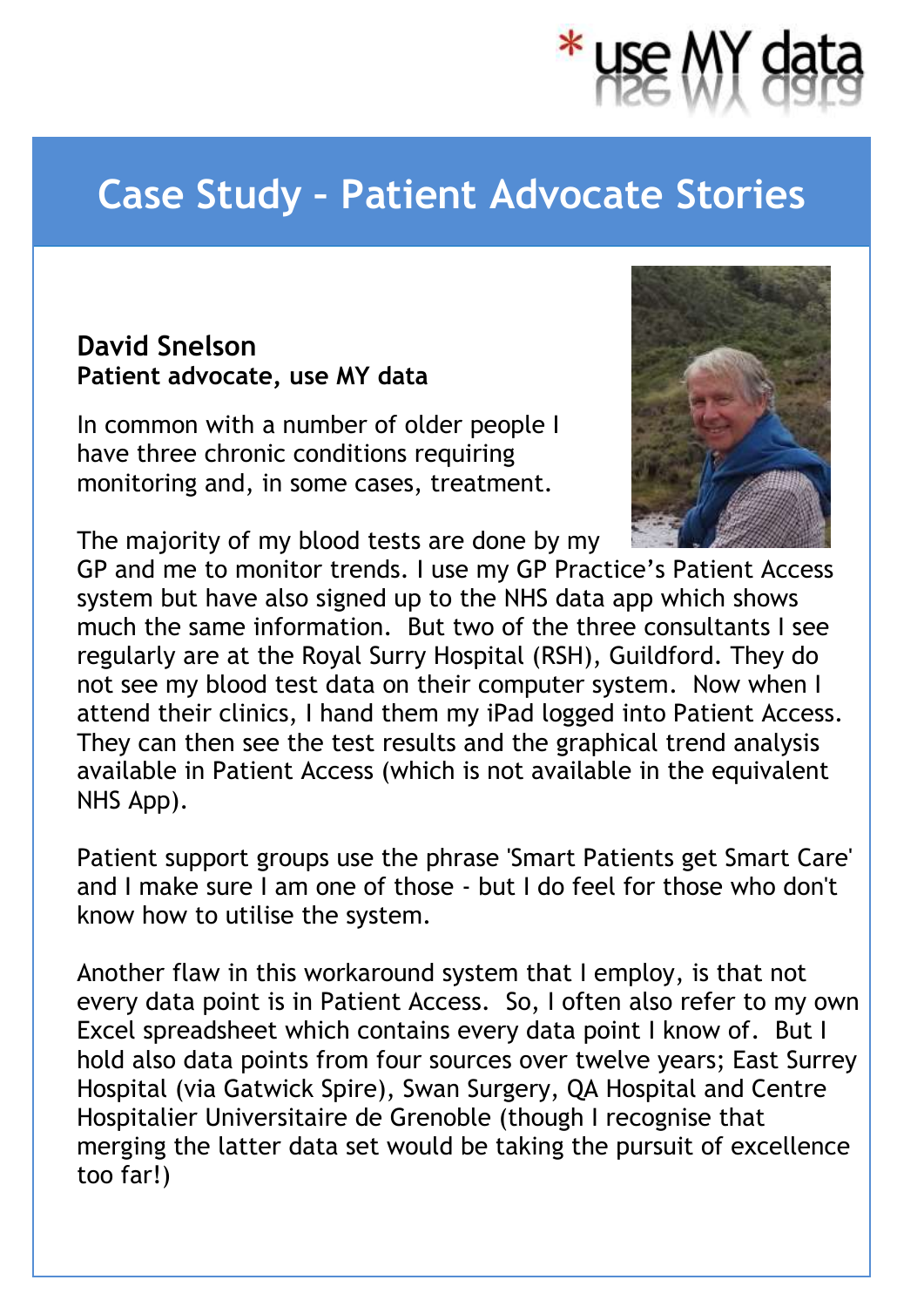

## **Case Study – Patient Advocate Stories**

## **David Snelson Patient advocate, use MY data**

In common with a number of older people I have three chronic conditions requiring monitoring and, in some cases, treatment.



The majority of my blood tests are done by my

GP and me to monitor trends. I use my GP Practice's Patient Access system but have also signed up to the NHS data app which shows much the same information. But two of the three consultants I see regularly are at the Royal Surry Hospital (RSH), Guildford. They do not see my blood test data on their computer system. Now when I attend their clinics, I hand them my iPad logged into Patient Access. They can then see the test results and the graphical trend analysis available in Patient Access (which is not available in the equivalent NHS App).

Patient support groups use the phrase 'Smart Patients get Smart Care' and I make sure I am one of those - but I do feel for those who don't know how to utilise the system.

Another flaw in this workaround system that I employ, is that not every data point is in Patient Access. So, I often also refer to my own Excel spreadsheet which contains every data point I know of. But I hold also data points from four sources over twelve years; East Surrey Hospital (via Gatwick Spire), Swan Surgery, QA Hospital and Centre Hospitalier Universitaire de Grenoble (though I recognise that merging the latter data set would be taking the pursuit of excellence too far!)